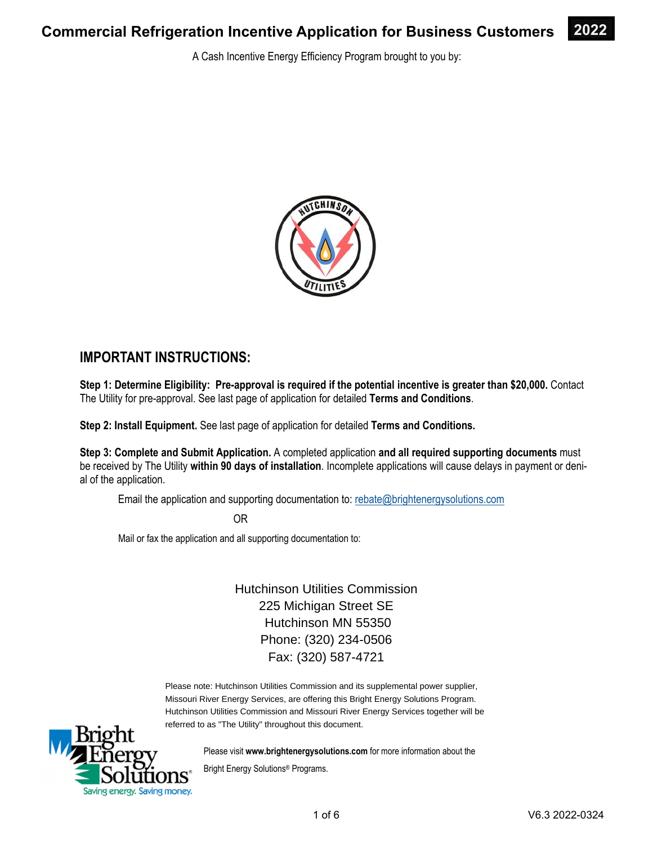A Cash Incentive Energy Efficiency Program brought to you by:



### **IMPORTANT INSTRUCTIONS:**

**Step 1: Determine Eligibility: Pre-approval is required if the potential incentive is greater than \$20,000.** Contact The Utility for pre-approval. See last page of application for detailed **Terms and Conditions**.

**Step 2: Install Equipment.** See last page of application for detailed **Terms and Conditions.** 

**Step 3: Complete and Submit Application.** A completed application **and all required supporting documents** must be received by The Utility **within 90 days of installation**. Incomplete applications will cause delays in payment or denial of the application.

Email the application and supporting documentation to: rebate@brightenergysolutions.com

OR

Mail or fax the application and all supporting documentation to:

Hutchinson Utilities Commission 225 Michigan Street SE Hutchinson MN 55350 Phone: (320) 234-0506 Fax: (320) 587-4721

Please note: Hutchinson Utilities Commission and its supplemental power supplier, Missouri River Energy Services, are offering this Bright Energy Solutions Program. Hutchinson Utilities Commission and Missouri River Energy Services together will be referred to as "The Utility" throughout this document.



Please visit **www.brightenergysolutions.com** for more information about the

Bright Energy Solutions® Programs.

**2022**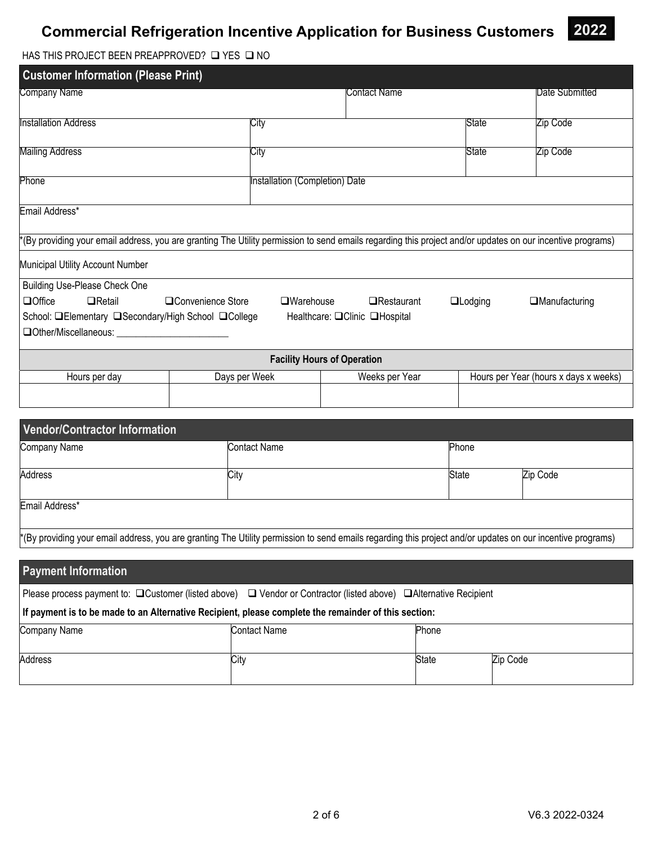

HAS THIS PROJECT BEEN PREAPPROVED?  $\Box$  YES  $\Box$  NO

| <b>Customer Information (Please Print)</b>                                                                                                                 |                                            |                                    |                      |                                       |  |
|------------------------------------------------------------------------------------------------------------------------------------------------------------|--------------------------------------------|------------------------------------|----------------------|---------------------------------------|--|
| Company Name                                                                                                                                               |                                            | Contact Name                       |                      | Date Submitted                        |  |
| <b>Installation Address</b>                                                                                                                                | City                                       |                                    | State                | Zip Code                              |  |
| <b>Mailing Address</b>                                                                                                                                     | City                                       |                                    | State                | Zip Code                              |  |
| Phone                                                                                                                                                      | Installation (Completion) Date             |                                    |                      |                                       |  |
| Email Address*                                                                                                                                             |                                            |                                    |                      |                                       |  |
| *(By providing your email address, you are granting The Utility permission to send emails regarding this project and/or updates on our incentive programs) |                                            |                                    |                      |                                       |  |
| Municipal Utility Account Number                                                                                                                           |                                            |                                    |                      |                                       |  |
| Building Use-Please Check One                                                                                                                              |                                            |                                    |                      |                                       |  |
| <b>Q</b> Office<br>$\Box$ Retail<br>□Convenience Store                                                                                                     | $\square$ Warehouse<br><b>O</b> Restaurant | $\Box$ Lodging                     | $\Box$ Manufacturing |                                       |  |
| School: <b>QElementary QSecondary/High School QCollege</b>                                                                                                 |                                            | Healthcare: □ Clinic □ Hospital    |                      |                                       |  |
| $\Box$ Other/Miscellaneous:                                                                                                                                |                                            |                                    |                      |                                       |  |
|                                                                                                                                                            |                                            | <b>Facility Hours of Operation</b> |                      |                                       |  |
| Hours per day                                                                                                                                              | Days per Week                              | Weeks per Year                     |                      | Hours per Year (hours x days x weeks) |  |
|                                                                                                                                                            |                                            |                                    |                      |                                       |  |

| Vendor/Contractor Information                                                                                                                              |              |              |          |
|------------------------------------------------------------------------------------------------------------------------------------------------------------|--------------|--------------|----------|
| Company Name                                                                                                                                               | Contact Name | Phone        |          |
| <b>Address</b>                                                                                                                                             | City         | <b>State</b> | Zip Code |
| Email Address*                                                                                                                                             |              |              |          |
| *(By providing your email address, you are granting The Utility permission to send emails regarding this project and/or updates on our incentive programs) |              |              |          |
|                                                                                                                                                            |              |              |          |

| <b>Payment Information</b>                                                                                                        |                     |       |          |  |
|-----------------------------------------------------------------------------------------------------------------------------------|---------------------|-------|----------|--|
| Please process payment to: $\Box$ Customer (listed above) $\Box$ Vendor or Contractor (listed above) $\Box$ Alternative Recipient |                     |       |          |  |
| If payment is to be made to an Alternative Recipient, please complete the remainder of this section:                              |                     |       |          |  |
| <b>Company Name</b>                                                                                                               | <b>Contact Name</b> | Phone |          |  |
| Address                                                                                                                           | City                | State | Zip Code |  |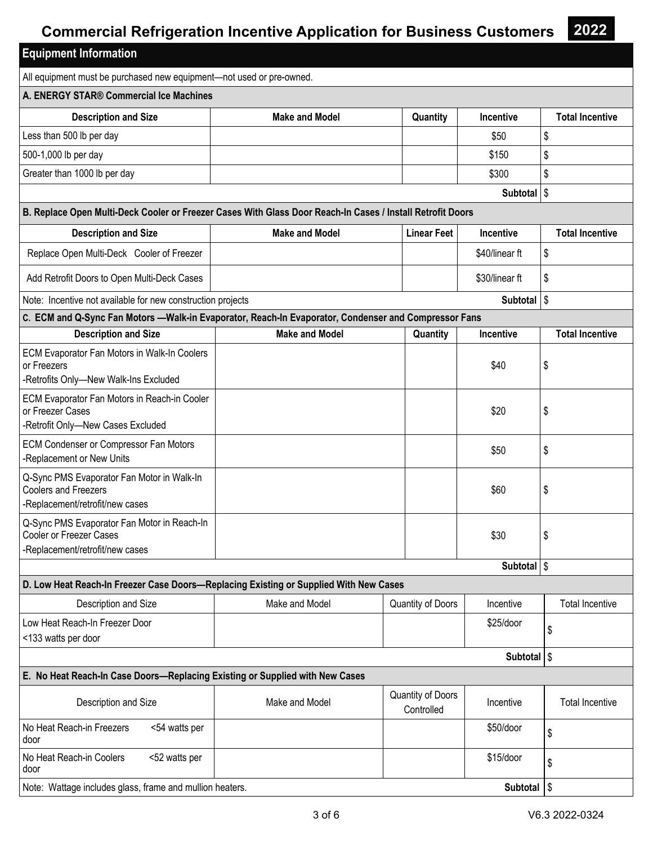**2022** 

| <b>Equipment Information</b>                                                                                 |                       |                                 |                        |                        |
|--------------------------------------------------------------------------------------------------------------|-----------------------|---------------------------------|------------------------|------------------------|
| All equipment must be purchased new equipment-not used or pre-owned.                                         |                       |                                 |                        |                        |
| A. ENERGY STAR® Commercial Ice Machines                                                                      |                       |                                 |                        |                        |
| <b>Description and Size</b>                                                                                  | <b>Make and Model</b> | Quantity                        | Incentive              | <b>Total Incentive</b> |
| Less than 500 lb per day                                                                                     |                       |                                 | \$50                   | \$                     |
| 500-1,000 lb per day                                                                                         |                       |                                 | \$150                  | \$                     |
| Greater than 1000 lb per day                                                                                 |                       |                                 | \$300                  | \$                     |
|                                                                                                              |                       |                                 | <b>Subtotal</b>        | $\sqrt{3}$             |
| B. Replace Open Multi-Deck Cooler or Freezer Cases With Glass Door Reach-In Cases / Install Retrofit Doors   |                       |                                 |                        |                        |
| <b>Description and Size</b>                                                                                  | <b>Make and Model</b> | <b>Linear Feet</b>              | <b>Incentive</b>       | <b>Total Incentive</b> |
| Replace Open Multi-Deck Cooler of Freezer                                                                    |                       |                                 | \$40/linear ft         | \$                     |
| Add Retrofit Doors to Open Multi-Deck Cases                                                                  |                       |                                 | \$30/linear ft         | \$                     |
| Note: Incentive not available for new construction projects                                                  |                       |                                 | Subtotal   \$          |                        |
| C. ECM and Q-Sync Fan Motors -- Walk-in Evaporator, Reach-In Evaporator, Condenser and Compressor Fans       |                       |                                 |                        |                        |
| <b>Description and Size</b>                                                                                  | <b>Make and Model</b> | Quantity                        | Incentive              | <b>Total Incentive</b> |
| ECM Evaporator Fan Motors in Walk-In Coolers<br>or Freezers<br>-Retrofits Only-New Walk-Ins Excluded         |                       |                                 | \$40                   | \$                     |
| ECM Evaporator Fan Motors in Reach-in Cooler<br>or Freezer Cases<br>-Retrofit Only-New Cases Excluded        |                       |                                 | \$20                   | \$                     |
| ECM Condenser or Compressor Fan Motors<br>-Replacement or New Units                                          |                       |                                 | \$50                   | \$                     |
| Q-Sync PMS Evaporator Fan Motor in Walk-In<br><b>Coolers and Freezers</b><br>-Replacement/retrofit/new cases |                       |                                 | \$60                   | \$                     |
| Q-Sync PMS Evaporator Fan Motor in Reach-In<br>Cooler or Freezer Cases<br>-Replacement/retrofit/new cases    |                       |                                 | \$30                   | \$                     |
|                                                                                                              |                       |                                 | Subtotal \$            |                        |
| D. Low Heat Reach-In Freezer Case Doors-Replacing Existing or Supplied With New Cases                        |                       |                                 |                        |                        |
| Description and Size                                                                                         | Make and Model        | Quantity of Doors               | Incentive              | <b>Total Incentive</b> |
| Low Heat Reach-In Freezer Door<br><133 watts per door                                                        |                       |                                 | \$25/door              | \$                     |
|                                                                                                              |                       |                                 | Subtotal   \$          |                        |
| E. No Heat Reach-In Case Doors-Replacing Existing or Supplied with New Cases                                 |                       |                                 |                        |                        |
| Description and Size                                                                                         | Make and Model        | Quantity of Doors<br>Controlled | Incentive              | <b>Total Incentive</b> |
| No Heat Reach-in Freezers<br><54 watts per<br>door                                                           |                       |                                 | \$50/door              | \$                     |
| No Heat Reach-in Coolers<br><52 watts per<br>door                                                            |                       |                                 | \$15/door              | \$                     |
| Note: Wattage includes glass, frame and mullion heaters.                                                     |                       |                                 | Subtotal $\frac{1}{3}$ |                        |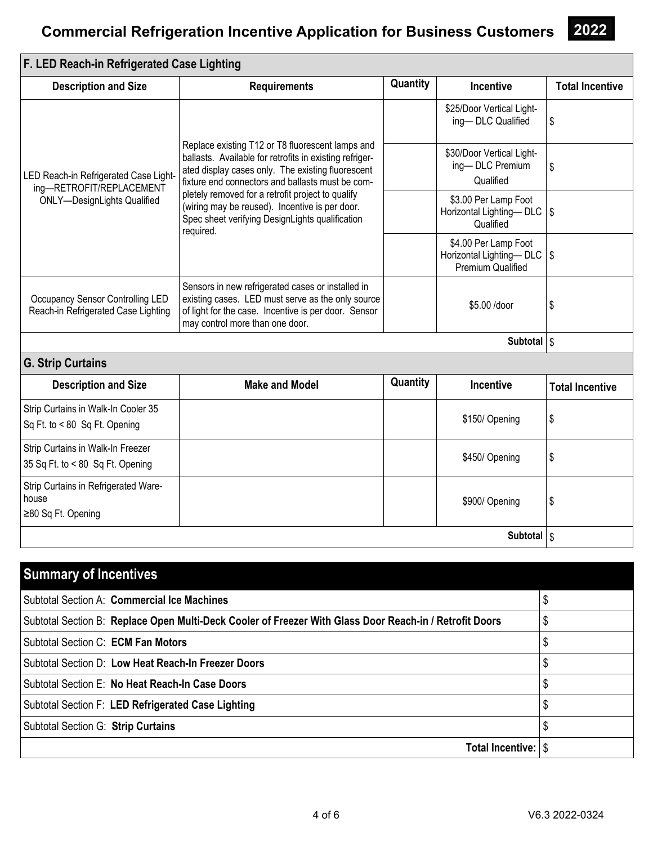| F. LED Reach-in Refrigerated Case Lighting                                                              |                                                                                                                                                                                                                      |          |                                                                           |                        |
|---------------------------------------------------------------------------------------------------------|----------------------------------------------------------------------------------------------------------------------------------------------------------------------------------------------------------------------|----------|---------------------------------------------------------------------------|------------------------|
| <b>Description and Size</b>                                                                             | <b>Requirements</b>                                                                                                                                                                                                  | Quantity | Incentive                                                                 | <b>Total Incentive</b> |
|                                                                                                         |                                                                                                                                                                                                                      |          | \$25/Door Vertical Light-<br>ing-DLC Qualified                            | \$                     |
| LED Reach-in Refrigerated Case Light-<br>ing-RETROFIT/REPLACEMENT<br><b>ONLY-DesignLights Qualified</b> | Replace existing T12 or T8 fluorescent lamps and<br>ballasts. Available for retrofits in existing refriger-<br>ated display cases only. The existing fluorescent<br>fixture end connectors and ballasts must be com- |          | \$30/Door Vertical Light-<br>ing-DLC Premium<br>Qualified                 | \$                     |
|                                                                                                         | pletely removed for a retrofit project to qualify<br>(wiring may be reused). Incentive is per door.<br>Spec sheet verifying DesignLights qualification<br>required.                                                  |          | \$3.00 Per Lamp Foot<br>Horizontal Lighting-DLC   \$<br>Qualified         |                        |
|                                                                                                         |                                                                                                                                                                                                                      |          | \$4.00 Per Lamp Foot<br>Horizontal Lighting-DLC   \$<br>Premium Qualified |                        |
| Occupancy Sensor Controlling LED<br>Reach-in Refrigerated Case Lighting                                 | Sensors in new refrigerated cases or installed in<br>existing cases. LED must serve as the only source<br>of light for the case. Incentive is per door. Sensor<br>may control more than one door.                    |          | \$5.00 /door                                                              | \$                     |
|                                                                                                         |                                                                                                                                                                                                                      |          | Subtotal \$                                                               |                        |
| <b>G. Strip Curtains</b>                                                                                |                                                                                                                                                                                                                      |          |                                                                           |                        |
| <b>Description and Size</b>                                                                             | <b>Make and Model</b>                                                                                                                                                                                                | Quantity | <b>Incentive</b>                                                          | <b>Total Incentive</b> |
| Strip Curtains in Walk-In Cooler 35<br>Sq Ft. to < 80 Sq Ft. Opening                                    |                                                                                                                                                                                                                      |          | \$150/Opening                                                             | \$                     |
| Strip Curtains in Walk-In Freezer<br>35 Sq Ft. to < 80 Sq Ft. Opening                                   |                                                                                                                                                                                                                      |          | \$450/Opening                                                             | \$                     |
| Strip Curtains in Refrigerated Ware-<br>house<br>≥80 Sq Ft. Opening                                     |                                                                                                                                                                                                                      |          | \$900/ Opening                                                            | \$                     |
|                                                                                                         |                                                                                                                                                                                                                      |          | Subtotal   \$                                                             |                        |

| <b>Summary of Incentives</b>                                                                            |         |
|---------------------------------------------------------------------------------------------------------|---------|
| Subtotal Section A: Commercial Ice Machines                                                             |         |
| Subtotal Section B: Replace Open Multi-Deck Cooler of Freezer With Glass Door Reach-in / Retrofit Doors | Φ<br>\$ |
| Subtotal Section C: ECM Fan Motors                                                                      | \$      |
| Subtotal Section D: Low Heat Reach-In Freezer Doors                                                     | \$      |
| Subtotal Section E: No Heat Reach-In Case Doors                                                         | S       |
| Subtotal Section F: LED Refrigerated Case Lighting                                                      |         |
| Subtotal Section G: Strip Curtains                                                                      |         |
| Total Incentive: S                                                                                      |         |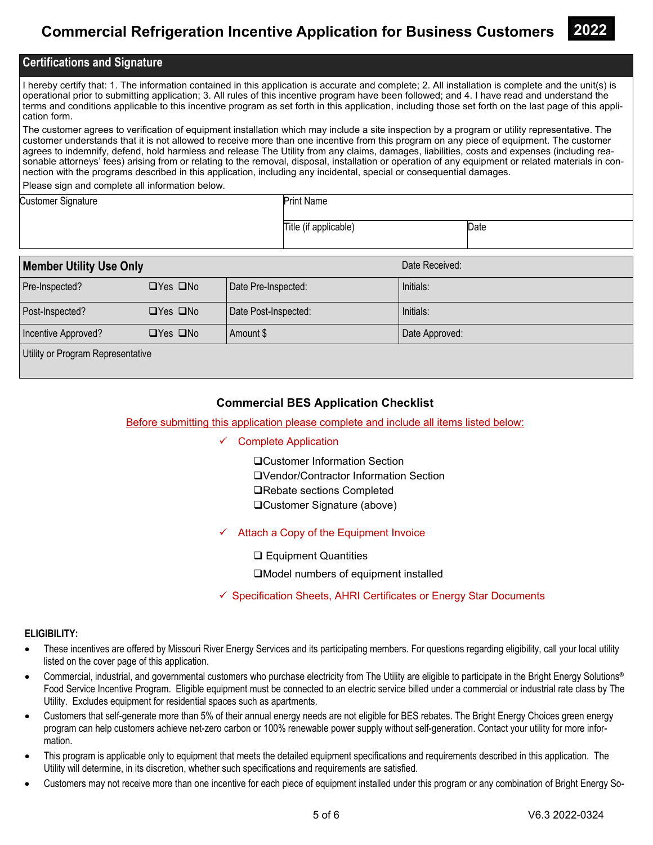

### **Certifications and Signature**

I hereby certify that: 1. The information contained in this application is accurate and complete; 2. All installation is complete and the unit(s) is operational prior to submitting application; 3. All rules of this incentive program have been followed; and 4. I have read and understand the terms and conditions applicable to this incentive program as set forth in this application, including those set forth on the last page of this application form.

The customer agrees to verification of equipment installation which may include a site inspection by a program or utility representative. The customer understands that it is not allowed to receive more than one incentive from this program on any piece of equipment. The customer agrees to indemnify, defend, hold harmless and release The Utility from any claims, damages, liabilities, costs and expenses (including reasonable attorneys' fees) arising from or relating to the removal, disposal, installation or operation of any equipment or related materials in connection with the programs described in this application, including any incidental, special or consequential damages.

Please sign and complete all information below.

| <b>Customer Signature</b> | <b>Print Name</b>     |      |
|---------------------------|-----------------------|------|
|                           | Title (if applicable) | Date |

| <b>Member Utility Use Only</b>    |                      |                      | Date Received: |  |
|-----------------------------------|----------------------|----------------------|----------------|--|
| Pre-Inspected?                    | $\Box$ Yes $\Box$ No | Date Pre-Inspected:  | Initials:      |  |
| Post-Inspected?                   | $\Box$ Yes $\Box$ No | Date Post-Inspected: | Initials:      |  |
| Incentive Approved?               | $\Box$ Yes $\Box$ No | Amount \$            | Date Approved: |  |
| Utility or Program Representative |                      |                      |                |  |

### **Commercial BES Application Checklist**

#### Before submitting this application please complete and include all items listed below:

#### $\checkmark$  Complete Application

Customer Information Section Vendor/Contractor Information Section **□Rebate sections Completed** Customer Signature (above)

 $\checkmark$  Attach a Copy of the Equipment Invoice

**□ Equipment Quantities** 

■Model numbers of equipment installed

 $\checkmark$  Specification Sheets, AHRI Certificates or Energy Star Documents

#### **ELIGIBILITY:**

- These incentives are offered by Missouri River Energy Services and its participating members. For questions regarding eligibility, call your local utility listed on the cover page of this application.
- Commercial, industrial, and governmental customers who purchase electricity from The Utility are eligible to participate in the Bright Energy Solutions® Food Service Incentive Program. Eligible equipment must be connected to an electric service billed under a commercial or industrial rate class by The Utility. Excludes equipment for residential spaces such as apartments.
- Customers that self-generate more than 5% of their annual energy needs are not eligible for BES rebates. The Bright Energy Choices green energy program can help customers achieve net-zero carbon or 100% renewable power supply without self-generation. Contact your utility for more information.
- This program is applicable only to equipment that meets the detailed equipment specifications and requirements described in this application. The Utility will determine, in its discretion, whether such specifications and requirements are satisfied.
- Customers may not receive more than one incentive for each piece of equipment installed under this program or any combination of Bright Energy So-